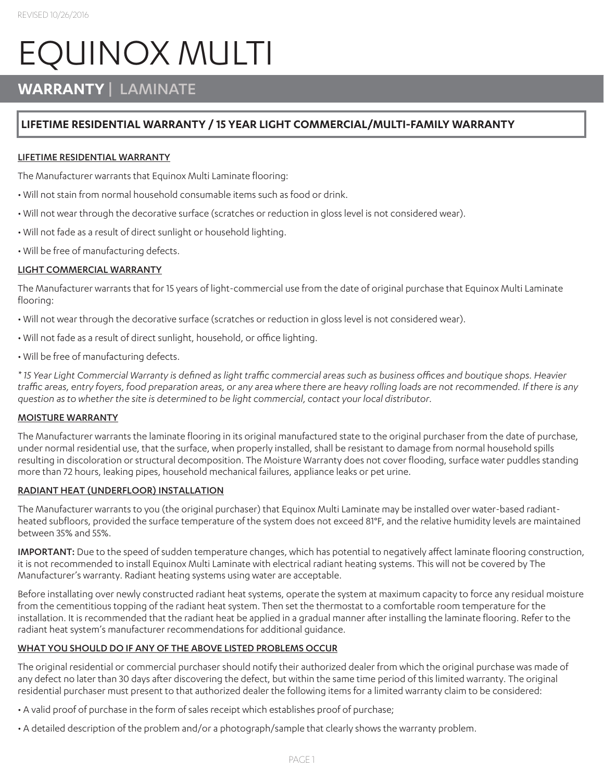# EQUINOX MULTI

## **WARRANTY** | LAMINATE

### **LIFETIME RESIDENTIAL WARRANTY / 15 YEAR LIGHT COMMERCIAL/MULTI-FAMILY WARRANTY**

#### LIFETIME RESIDENTIAL WARRANTY

The Manufacturer warrants that Equinox Multi Laminate flooring:

- Will not stain from normal household consumable items such as food or drink.
- Will not wear through the decorative surface (scratches or reduction in gloss level is not considered wear).
- Will not fade as a result of direct sunlight or household lighting.
- Will be free of manufacturing defects.

#### LIGHT COMMERCIAL WARRANTY

The Manufacturer warrants that for 15 years of light-commercial use from the date of original purchase that Equinox Multi Laminate flooring:

• Will not wear through the decorative surface (scratches or reduction in gloss level is not considered wear).

- Will not fade as a result of direct sunlight, household, or office lighting.
- Will be free of manufacturing defects.

*\* 15 Year Light Commercial Warranty is defined as light traffic commercial areas such as business offices and boutique shops. Heavier traffic areas, entry foyers, food preparation areas, or any area where there are heavy rolling loads are not recommended. If there is any question as to whether the site is determined to be light commercial, contact your local distributor.*

#### MOISTURE WARRANTY

The Manufacturer warrants the laminate flooring in its original manufactured state to the original purchaser from the date of purchase, under normal residential use, that the surface, when properly installed, shall be resistant to damage from normal household spills resulting in discoloration or structural decomposition. The Moisture Warranty does not cover flooding, surface water puddles standing more than 72 hours, leaking pipes, household mechanical failures, appliance leaks or pet urine.

#### RADIANT HEAT (UNDERFLOOR) INSTALLATION

The Manufacturer warrants to you (the original purchaser) that Equinox Multi Laminate may be installed over water-based radiantheated subfloors, provided the surface temperature of the system does not exceed 81°F, and the relative humidity levels are maintained between 35% and 55%.

IMPORTANT: Due to the speed of sudden temperature changes, which has potential to negatively affect laminate flooring construction, it is not recommended to install Equinox Multi Laminate with electrical radiant heating systems. This will not be covered by The Manufacturer's warranty. Radiant heating systems using water are acceptable.

Before installating over newly constructed radiant heat systems, operate the system at maximum capacity to force any residual moisture from the cementitious topping of the radiant heat system. Then set the thermostat to a comfortable room temperature for the installation. It is recommended that the radiant heat be applied in a gradual manner after installing the laminate flooring. Refer to the radiant heat system's manufacturer recommendations for additional guidance.

#### WHAT YOU SHOULD DO IF ANY OF THE ABOVE LISTED PROBLEMS OCCUR

The original residential or commercial purchaser should notify their authorized dealer from which the original purchase was made of any defect no later than 30 days after discovering the defect, but within the same time period of this limited warranty. The original residential purchaser must present to that authorized dealer the following items for a limited warranty claim to be considered:

- A valid proof of purchase in the form of sales receipt which establishes proof of purchase;
- A detailed description of the problem and/or a photograph/sample that clearly shows the warranty problem.